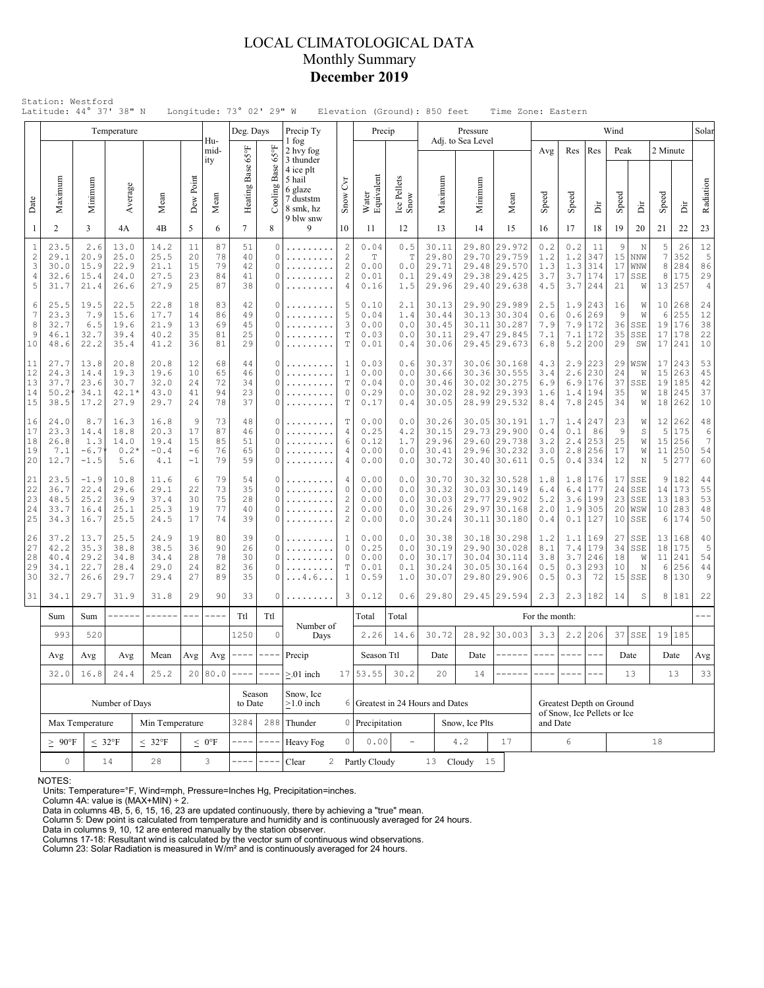## LOCAL CLIMATOLOGICAL DATA Monthly Summary **December 2019**

|                                                   |                                                              |                                                                                                                                            | Temperature                           |                                       |                             |                            | Deg. Days                           |                                                                                                                                                                                                                                                                                                                                                                                              | Precip Ty                                                             |                                                                    | Precip                               |                                           |                                           | Pressure                                                               |                                                                              |                                                                                                                                                                                                                                                                                                                                                                                              |                                                                      |                                                                   | Wind                                                    |                                    |                                       |                                    | Solar                                               |
|---------------------------------------------------|--------------------------------------------------------------|--------------------------------------------------------------------------------------------------------------------------------------------|---------------------------------------|---------------------------------------|-----------------------------|----------------------------|-------------------------------------|----------------------------------------------------------------------------------------------------------------------------------------------------------------------------------------------------------------------------------------------------------------------------------------------------------------------------------------------------------------------------------------------|-----------------------------------------------------------------------|--------------------------------------------------------------------|--------------------------------------|-------------------------------------------|-------------------------------------------|------------------------------------------------------------------------|------------------------------------------------------------------------------|----------------------------------------------------------------------------------------------------------------------------------------------------------------------------------------------------------------------------------------------------------------------------------------------------------------------------------------------------------------------------------------------|----------------------------------------------------------------------|-------------------------------------------------------------------|---------------------------------------------------------|------------------------------------|---------------------------------------|------------------------------------|-----------------------------------------------------|
|                                                   |                                                              |                                                                                                                                            |                                       |                                       |                             | Hu-<br>mid-<br>ity         |                                     | $65^{\circ}$ F                                                                                                                                                                                                                                                                                                                                                                               | 1 fog<br>2 hvy fog<br>3 thunder                                       |                                                                    |                                      |                                           |                                           | Adj. to Sea Level                                                      |                                                                              | Avg                                                                                                                                                                                                                                                                                                                                                                                          | Res                                                                  | Res                                                               | Peak                                                    |                                    | 2 Minute                              |                                    |                                                     |
| Date                                              | Maximum                                                      | Minimum                                                                                                                                    | Average                               | Mean                                  | Dew Point                   | Mean                       | Heating Base 65°F                   | Base<br>Cooling                                                                                                                                                                                                                                                                                                                                                                              | 4 ice plt<br>5 hail<br>6 glaze<br>7 duststm<br>8 smk, hz<br>9 blw snw | $\overline{C}$<br>Snow                                             | Water<br>Equivalent                  | Ice Pellets<br>Snow                       | Maximum                                   | Minimum                                                                | Mean                                                                         | Speed                                                                                                                                                                                                                                                                                                                                                                                        | Speed                                                                | Èř                                                                | Speed                                                   | Èĭ                                 | Speed                                 | ă                                  | Radiation                                           |
| $\mathbf{1}$                                      | $\overline{2}$                                               | 3                                                                                                                                          | 4A                                    | 4B                                    | 5                           | 6                          | $\overline{7}$                      | 8                                                                                                                                                                                                                                                                                                                                                                                            | 9                                                                     | 10                                                                 | 11                                   | 12                                        | 13                                        | 14                                                                     | 15                                                                           | 16                                                                                                                                                                                                                                                                                                                                                                                           | 17                                                                   | 18                                                                | 19                                                      | 20                                 | 21                                    | 22                                 | 23                                                  |
| $\,1\,$<br>$\sqrt{2}$<br>3<br>$\overline{4}$<br>5 | 23.5<br>29.1<br>30.0<br>32.6<br>31.7                         | 2.6<br>20.9<br>15.9<br>15.4<br>21.4                                                                                                        | 13.0<br>25.0<br>22.9<br>24.0<br>26.6  | 14.2<br>25.5<br>21.1<br>27.5<br>27.9  | 11<br>20<br>15<br>23<br>25  | 87<br>78<br>79<br>84<br>87 | 51<br>40<br>42<br>41<br>38          | $\circ$<br>0<br>0<br>$\Omega$<br>$\Omega$                                                                                                                                                                                                                                                                                                                                                    | .<br>.                                                                | $\sqrt{2}$<br>$\mathbf{2}$<br>$\overline{c}$<br>$\sqrt{2}$<br>4    | 0.04<br>T<br>0.00<br>0.01<br>0.16    | 0.5<br>T<br>0.0<br>0.1<br>1.5             | 30.11<br>29.80<br>29.71<br>29.49<br>29.96 | 29.80<br>29.70<br>29.38                                                | 29.972<br>29.759<br>29.48 29.570<br>29.425<br>29.40 29.638                   | 0.2<br>1.2<br>1.3<br>3.7<br>4.5                                                                                                                                                                                                                                                                                                                                                              | $0.2$<br>1.2<br>1.3                                                  | 11<br>347<br>314<br>$3.7$   174<br>$3.7$   244                    | 9<br>15<br>17<br>17<br>21                               | N<br><b>NNW</b><br>WNW<br>SSE<br>W | 5<br>$\boldsymbol{7}$<br>8<br>8<br>13 | 26<br>352<br>284<br>175<br>257     | $12\,$<br>$\mathbf 5$<br>86<br>29<br>$\overline{4}$ |
| 6<br>7<br>8<br>9<br>10                            | 25.5<br>23.3<br>32.7<br>46.1<br>48.6                         | 19.5<br>22.5<br>22.8<br>7.9<br>15.6<br>17.7<br>6.5<br>19.6<br>21.9<br>32.7<br>39.4<br>40.2<br>41.2<br>22.2<br>35.4<br>13.8<br>20.8<br>20.8 |                                       | 18<br>14<br>13<br>35<br>36            | 83<br>86<br>69<br>81<br>81  | 42<br>49<br>45<br>25<br>29 | 0<br>0<br>$\Omega$<br>0<br>$\Omega$ | .                                                                                                                                                                                                                                                                                                                                                                                            | 5<br>5<br>3<br>$\mathbb T$<br>$\mathbb T$                             | 0.10<br>0.04<br>0.00<br>0.03<br>0.01                               | 2.1<br>1.4<br>0.0<br>0.0<br>0.4      | 30.13<br>30.44<br>30.45<br>30.11<br>30.06 | 29.47                                     | 29.90 29.989<br>30.13 30.304<br>30.11 30.287<br>29.845<br>29.45 29.673 | 2.5<br>0.6<br>7.9<br>7.1<br>6.8                                              |                                                                                                                                                                                                                                                                                                                                                                                              | $1.9$   243<br>$0.6$  269<br>$7.9$   172<br>$7.1$   172<br>$5.2$ 200 | 16<br>9<br>36<br>35<br>29                                         | W<br>W<br>SSE<br>SSE<br>SW                              | 10<br>6<br>19<br>17<br>17          | 268<br>255<br>176<br>178<br>241       | 24<br>12<br>38<br>22<br>10         |                                                     |
| 11<br>12<br>13<br>14<br>15                        | 27.7<br>24.3<br>37.7<br>$50.2^{\circ}$<br>38.5               | 14.4<br>23.6<br>34.1<br>17.2                                                                                                               | 19.3<br>30.7<br>$42.1*$<br>27.9       | 19.6<br>32.0<br>43.0<br>29.7          | 12<br>10<br>24<br>41<br>24  | 68<br>65<br>72<br>94<br>78 | 44<br>46<br>34<br>23<br>37          | 0<br>$\Omega$<br>$\circ$<br>$\Omega$<br>0                                                                                                                                                                                                                                                                                                                                                    | .                                                                     | $\mathbf{1}$<br>$\mathbf{1}$<br>T<br>$\circ$<br>T                  | 0.03<br>0.00<br>0.04<br>0.29<br>0.17 | 0.6<br>0.0<br>0.0<br>0.0<br>0.4           | 30.37<br>30.66<br>30.46<br>30.02<br>30.05 |                                                                        | 30.06 30.168<br>30.36 30.555<br>30.02 30.275<br>28.92 29.393<br>28.99 29.532 | 4.3<br>3.4<br>6.9<br>1.6<br>8.4                                                                                                                                                                                                                                                                                                                                                              | 2.6<br>7.8                                                           | $2.9$   223<br>230<br>$6.9$   176<br>$1.4$   194<br>245           | 29<br>24<br>37<br>35<br>34                              | WSW<br>W<br>SSE<br>W<br>W          | 17<br>15<br>19<br>18<br>18            | 243<br>263<br>185<br>245<br>262    | 53<br>45<br>42<br>37<br>10                          |
| 16<br>17<br>18<br>19<br>20                        | 24.0<br>23.3<br>26.8<br>7.1<br>12.7                          | 8.7<br>14.4<br>1.3<br>$-6.7$<br>$-1.5$                                                                                                     | 16.3<br>18.8<br>14.0<br>$0.2*$<br>5.6 | 16.8<br>20.3<br>19.4<br>$-0.4$<br>4.1 | 9<br>17<br>15<br>-6<br>$-1$ | 73<br>87<br>85<br>76<br>79 | 48<br>46<br>51<br>65<br>59          | 0<br>$\circ$<br>$\Omega$<br>0<br>$\Omega$                                                                                                                                                                                                                                                                                                                                                    | .                                                                     | T<br>$\overline{4}$<br>6<br>4<br>$\overline{4}$                    | 0.00<br>0.25<br>0.12<br>0.00<br>0.00 | 0.0<br>4.2<br>1.7<br>0.0<br>0.0           | 30.26<br>30.15<br>29.96<br>30.41<br>30.72 | 29.96                                                                  | 30.05 30.191<br>29.73 29.900<br>29.60 29.738<br>30.232<br>30.40 30.611       | 1.7<br>0.4<br>3.2<br>3.0<br>0.5                                                                                                                                                                                                                                                                                                                                                              | 0.1<br>2.4<br>2.8                                                    | $1.4$   247<br>86<br>253<br>256<br>$0.4$ 334                      | 23<br>9<br>25<br>17<br>12                               | W<br>S<br>W<br>W<br>Ν              | 12<br>5<br>15<br>11<br>5              | 262<br>175<br>256<br>250<br>277    | 48<br>6<br>$\overline{7}$<br>54<br>60               |
| 21<br>22<br>23<br>24<br>25                        | 23.5<br>36.7<br>48.5<br>33.7<br>34.3                         | $-1.9$<br>22.4<br>25.2<br>16.4<br>16.7                                                                                                     | 10.8<br>29.6<br>36.9<br>25.1<br>25.5  | 11.6<br>29.1<br>37.4<br>25.3<br>24.5  | 6<br>22<br>30<br>19<br>17   | 79<br>73<br>75<br>77<br>74 | 54<br>35<br>28<br>40<br>39          | 0<br>$\Omega$<br>$\Omega$<br>$\Omega$<br>$\Omega$                                                                                                                                                                                                                                                                                                                                            | .                                                                     | 4<br>$\circ$<br>$\overline{2}$<br>$\overline{c}$<br>$\overline{2}$ | 0.00<br>0.00<br>0.00<br>0.00<br>0.00 | 0.0<br>0.0<br>0.0<br>0.0<br>0.0           | 30.70<br>30.32<br>30.03<br>30.26<br>30.24 | 29.97                                                                  | 30.32 30.528<br>30.03 30.149<br>29.77 29.902<br>30.168<br>30.11 30.180       | 1.8<br>6.4<br>5.2<br>2.0<br>0.4                                                                                                                                                                                                                                                                                                                                                              |                                                                      | $1.8$   176<br>$6.4$   177<br>3.6 199<br>$1.9$ 305<br>$0.1$   127 | 17<br>24<br>23<br>20<br>10                              | SSE<br>SSE<br>SSE<br>WSW<br>SSE    | 9<br>14<br>13<br>10<br>6              | 182<br>173<br>183<br>283<br>174    | 44<br>55<br>53<br>48<br>50                          |
| 26<br>27<br>28<br>29<br>30                        | 37.2<br>42.2<br>40.4<br>34.1<br>32.7                         | 13.7<br>35.3<br>29.2<br>22.7<br>26.6                                                                                                       | 25.5<br>38.8<br>34.8<br>28.4<br>29.7  | 24.9<br>38.5<br>34.4<br>29.0<br>29.4  | 19<br>36<br>28<br>24<br>27  | 80<br>90<br>78<br>82<br>89 | 39<br>26<br>30<br>36<br>35          | $\Omega$<br>0<br>$\Omega$<br>0<br>0                                                                                                                                                                                                                                                                                                                                                          | 4.6.                                                                  | 1<br>$\circ$<br>$\circ$<br>$\mathbb T$<br>$\mathbf{1}$             | 0.00<br>0.25<br>0.00<br>0.01<br>0.59 | 0.0<br>0.0<br>0.0<br>0.1<br>1.0           | 30.38<br>30.19<br>30.17<br>30.24<br>30.07 |                                                                        | 30.18 30.298<br>29.90 30.028<br>30.04 30.114<br>30.05 30.164<br>29.80 29.906 | 1.2<br>8.1<br>3.8<br>0.5<br>0.5                                                                                                                                                                                                                                                                                                                                                              | 3.7<br>0.3                                                           | $1.1$   169<br>$7.4$   179<br>246<br>0.3 293<br>72                | 27<br>34<br>18<br>10<br>15                              | SSE<br>SSE<br>W<br>Ν<br>SSE        | 18<br>11<br>6<br>8                    | 13 168<br>175<br>241<br>256<br>130 | 40<br>5<br>54<br>44<br>9                            |
| 31                                                | 34.1                                                         | 29.7                                                                                                                                       | 31.9                                  | 31.8                                  | 29                          | 90                         | 33                                  | 0                                                                                                                                                                                                                                                                                                                                                                                            | .                                                                     | 3                                                                  | 0.12                                 | 0.6                                       | 29.80                                     |                                                                        | 29.45 29.594                                                                 | 2.3                                                                                                                                                                                                                                                                                                                                                                                          |                                                                      | 2.3 182                                                           | 14                                                      | $\mathbb S$                        |                                       | 8   181                            | 22                                                  |
|                                                   | Sum                                                          | Sum                                                                                                                                        | ------                                | ------                                | $\qquad \qquad - -$         |                            | Ttl                                 | Ttl                                                                                                                                                                                                                                                                                                                                                                                          | Number of                                                             |                                                                    | Total                                | Total                                     |                                           |                                                                        |                                                                              | For the month:                                                                                                                                                                                                                                                                                                                                                                               |                                                                      |                                                                   |                                                         |                                    |                                       |                                    |                                                     |
|                                                   | 993                                                          | 520                                                                                                                                        |                                       |                                       |                             |                            | 1250                                | $\mathbf 0$                                                                                                                                                                                                                                                                                                                                                                                  | Days                                                                  |                                                                    | 2.26                                 | 14.6                                      | 30.72                                     |                                                                        | 28.92 30.003                                                                 | 3.3                                                                                                                                                                                                                                                                                                                                                                                          |                                                                      | $2.2$ 206                                                         |                                                         | $37$ SSE                           |                                       | 19 185                             |                                                     |
|                                                   | Avg                                                          | Avg<br>Avg<br>Mean<br>24.4<br>25.2<br>16.8                                                                                                 |                                       |                                       | Avg                         |                            | $Avg \mid --- \mid$                 | $\frac{1}{2} \frac{1}{2} \frac{1}{2} \frac{1}{2} \frac{1}{2} \frac{1}{2} \frac{1}{2} \frac{1}{2} \frac{1}{2} \frac{1}{2} \frac{1}{2} \frac{1}{2} \frac{1}{2} \frac{1}{2} \frac{1}{2} \frac{1}{2} \frac{1}{2} \frac{1}{2} \frac{1}{2} \frac{1}{2} \frac{1}{2} \frac{1}{2} \frac{1}{2} \frac{1}{2} \frac{1}{2} \frac{1}{2} \frac{1}{2} \frac{1}{2} \frac{1}{2} \frac{1}{2} \frac{1}{2} \frac{$ | Precip                                                                |                                                                    | Season Ttl<br>17 53.55               | 30.2                                      | Date<br>20                                | Date<br>14                                                             | ------                                                                       | $\frac{1}{2} \frac{1}{2} \frac{1}{2} \frac{1}{2} \frac{1}{2} \frac{1}{2} \frac{1}{2} \frac{1}{2} \frac{1}{2} \frac{1}{2} \frac{1}{2} \frac{1}{2} \frac{1}{2} \frac{1}{2} \frac{1}{2} \frac{1}{2} \frac{1}{2} \frac{1}{2} \frac{1}{2} \frac{1}{2} \frac{1}{2} \frac{1}{2} \frac{1}{2} \frac{1}{2} \frac{1}{2} \frac{1}{2} \frac{1}{2} \frac{1}{2} \frac{1}{2} \frac{1}{2} \frac{1}{2} \frac{$ | $----$                                                               | $\frac{1}{2}$                                                     |                                                         | Date<br>13                         |                                       | Date<br>13                         | Avg<br>33                                           |
|                                                   | 32.0<br>Number of Days<br>Max Temperature<br>Min Temperature |                                                                                                                                            |                                       |                                       |                             | 20 80.0                    |                                     | Season<br>to Date                                                                                                                                                                                                                                                                                                                                                                            | $> 01$ inch<br>Snow, Ice<br>$\geq$ 1.0 inch<br>288 Thunder            |                                                                    | 0 Precipitation                      | Greatest in 24 Hours and Dates            |                                           | Snow, Ice Plts                                                         |                                                                              | and Date                                                                                                                                                                                                                                                                                                                                                                                     |                                                                      |                                                                   | Greatest Depth on Ground<br>of Snow, Ice Pellets or Ice |                                    |                                       |                                    |                                                     |
|                                                   | $\geq~90^{\circ}\rm{F}$                                      |                                                                                                                                            | $\leq 32^{\circ}F$                    | $< 32^{\circ}F$                       |                             | $\leq 0$ °F                |                                     | $-$                                                                                                                                                                                                                                                                                                                                                                                          | Heavy Fog                                                             | $\circ$                                                            | 0.00                                 | $\equiv$                                  |                                           | 4.2                                                                    | 17                                                                           | 6                                                                                                                                                                                                                                                                                                                                                                                            |                                                                      |                                                                   | 18                                                      |                                    |                                       |                                    |                                                     |
|                                                   | $\circ$<br>14<br>$2\,8$                                      |                                                                                                                                            |                                       |                                       |                             | 3                          |                                     |                                                                                                                                                                                                                                                                                                                                                                                              | Clear<br>$\overline{2}$                                               |                                                                    | Partly Cloudy                        |                                           | 13                                        | Cloudy<br>15                                                           |                                                                              |                                                                                                                                                                                                                                                                                                                                                                                              |                                                                      |                                                                   |                                                         |                                    |                                       |                                    |                                                     |

NOTES:

Units: Temperature=°F, Wind=mph, Pressure=Inches Hg, Precipitation=inches. Column 4A: value is (MAX+MIN) ÷ 2. Data in columns 4B, 5, 6, 15, 16, 23 are updated continuously, there by achieving a "true" mean.

Column 5: Dew point is calculated from temperature and humidity and is continuously averaged for 24 hours. Data in columns 9, 10, 12 are entered manually by the station observer.

Columns 17-18: Resultant wind is calculated by the vector sum of continuous wind observations. Column 23: Solar Radiation is measured in W/m² and is continuously averaged for 24 hours.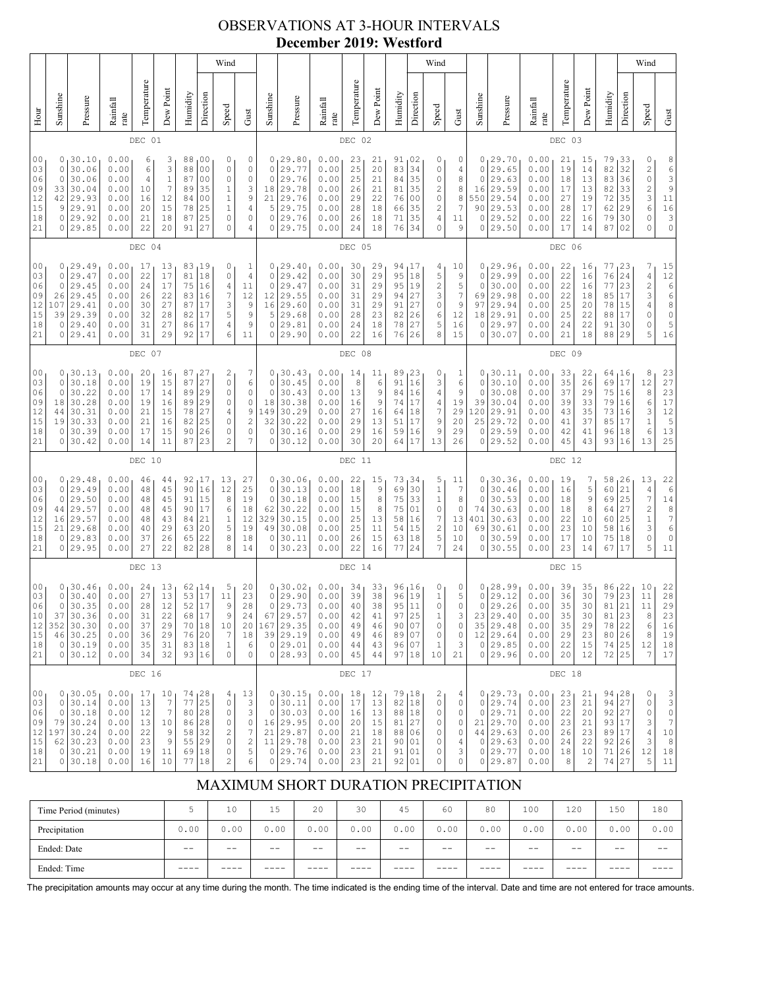## OBSERVATIONS AT 3-HOUR INTERVALS **December 2019: Westford**

|                                                          |                                                                                                                                                                                                                                                                                                                                                                                                                                                                                     |                                                                            |                                                              |                                              |                                                                      |                                                                             |                                                  | Wind                                                                    |                                                                                              |                                               |                                                                              |                                                              |                                                          |                                                 |                                              |                                                    | Wind                                                                 |                                                              |                                              |                                                                                       |                                                              |                                              |                                                            |                                                                                 |                                              | Wind                                                                                          |                                                                                           |
|----------------------------------------------------------|-------------------------------------------------------------------------------------------------------------------------------------------------------------------------------------------------------------------------------------------------------------------------------------------------------------------------------------------------------------------------------------------------------------------------------------------------------------------------------------|----------------------------------------------------------------------------|--------------------------------------------------------------|----------------------------------------------|----------------------------------------------------------------------|-----------------------------------------------------------------------------|--------------------------------------------------|-------------------------------------------------------------------------|----------------------------------------------------------------------------------------------|-----------------------------------------------|------------------------------------------------------------------------------|--------------------------------------------------------------|----------------------------------------------------------|-------------------------------------------------|----------------------------------------------|----------------------------------------------------|----------------------------------------------------------------------|--------------------------------------------------------------|----------------------------------------------|---------------------------------------------------------------------------------------|--------------------------------------------------------------|----------------------------------------------|------------------------------------------------------------|---------------------------------------------------------------------------------|----------------------------------------------|-----------------------------------------------------------------------------------------------|-------------------------------------------------------------------------------------------|
| Hour                                                     | Sunshine                                                                                                                                                                                                                                                                                                                                                                                                                                                                            | Pressure                                                                   | Rainfall<br>rate                                             | Temperature                                  | Dew Point                                                            | Humidity                                                                    | Direction                                        | Speed                                                                   | Gust                                                                                         | Sunshine                                      | Pressure                                                                     | Rainfall<br>rate                                             | Temperature                                              | Dew Point                                       | Humidity                                     | Direction                                          | Speed                                                                | Gust                                                         | Sunshine                                     | Pressure                                                                              | Rainfall<br>rate                                             | Temperature                                  | Dew Point                                                  | Humidity                                                                        | Direction                                    | Speed                                                                                         | Gust                                                                                      |
|                                                          |                                                                                                                                                                                                                                                                                                                                                                                                                                                                                     |                                                                            |                                                              | DEC 01                                       |                                                                      |                                                                             |                                                  |                                                                         |                                                                                              |                                               |                                                                              |                                                              | DEC 02                                                   |                                                 |                                              |                                                    |                                                                      |                                                              |                                              |                                                                                       |                                                              | DEC 03                                       |                                                            |                                                                                 |                                              |                                                                                               |                                                                                           |
| 0 <sub>0</sub><br>03<br>06<br>09<br>12<br>15<br>18<br>21 | 0<br>30.10<br>0.00<br>88<br>00<br>0<br>6<br>3<br>3<br>0<br>30.06<br>0.00<br>0 <sub>0</sub><br>6<br>88<br>0<br>0<br>$1\,$<br>0 <sub>0</sub><br>30.06<br>0.00<br>4<br>87<br>0<br>30.04<br>7<br>35<br>33<br>0.00<br>10<br>$\mathbf{1}$<br>89<br>$\,1\,$<br>42<br>29.93<br>0.00<br>12<br>0 <sub>0</sub><br>16<br>84<br>25<br>$\mathbf{1}$<br>9<br>29.91<br>0.00<br>20<br>15<br>78<br>0<br>29.92<br>0.00<br>21<br>18<br>25<br>0<br>87<br>29.85<br>22<br>20<br>27<br>0<br>0<br>0.00<br>91 |                                                                            |                                                              |                                              |                                                                      | 0<br>0<br>0<br>3<br>9<br>4<br>0<br>4                                        | 0<br>0<br>$\circ$<br>18<br>21<br>5<br>0<br>0     | 29.80<br>29.77<br>29.76<br>29.78<br>29.76<br>29.75<br>29.76<br>29.75    | 0.00<br>0.00<br>0.00<br>0.00<br>0.00<br>0.00<br>0.00<br>0.00                                 | 23<br>25<br>25<br>26<br>29<br>28<br>26<br>24  | 21<br>20<br>21<br>21<br>22<br>18<br>18<br>18                                 | 91<br>83<br>84<br>81<br>76<br>66<br>71<br>76                 | 02<br>34<br>35<br>35<br>0 <sub>0</sub><br>35<br>35<br>34 | 0<br>0<br>0<br>2<br>0<br>2<br>4<br>0            | 0<br>4<br>8<br>8<br>8<br>7<br>11<br>9        | 0<br>0<br>0<br>16<br>550<br>90<br>0<br>0           | 29.70<br>29.65<br>29.63<br>29.59<br>29.54<br>29.53<br>29.52<br>29.50 | 0.00<br>0.00<br>0.00<br>0.00<br>0.00<br>0.00<br>0.00<br>0.00 | 21<br>19<br>18<br>17<br>27<br>28<br>22<br>17 | 15<br>14<br>13<br>13<br>19<br>17<br>16<br>14                                          | 79<br>82<br>83<br>82<br>72<br>62<br>79<br>87                 | 33<br>32<br>36<br>33<br>35<br>29<br>30<br>02 | 0<br>2<br>0<br>$\overline{\mathbf{c}}$<br>3<br>6<br>0<br>0 | 8<br>6<br>3<br>9<br>$\begin{array}{c} 11 \\ 16 \end{array}$<br>3<br>$\mathbb O$ |                                              |                                                                                               |                                                                                           |
|                                                          |                                                                                                                                                                                                                                                                                                                                                                                                                                                                                     |                                                                            |                                                              | DEC 04                                       |                                                                      |                                                                             |                                                  |                                                                         |                                                                                              |                                               |                                                                              |                                                              | DEC 05                                                   |                                                 |                                              |                                                    |                                                                      |                                                              |                                              |                                                                                       |                                                              | DEC 06                                       |                                                            |                                                                                 |                                              |                                                                                               |                                                                                           |
| 0 <sub>0</sub><br>03<br>06<br>09<br>12<br>15<br>18<br>21 | 0<br>0<br>0<br>26<br>107<br>39<br>0<br>0                                                                                                                                                                                                                                                                                                                                                                                                                                            | 129.49<br>29.47<br>29.45<br>29.45<br>29.41<br>29.39<br>29.40<br>29.41      | 0.00<br>0.00<br>0.00<br>0.00<br>0.00<br>0.00<br>0.00<br>0.00 | 17<br>22<br>24<br>26<br>30<br>32<br>31<br>31 | 13<br>17<br>17<br>22<br>27<br>28<br>27<br>29                         | 81<br>75<br>83<br>87<br>82<br>86<br>92                                      | 83,19<br>18<br>16<br>16<br>17<br>17<br>17<br>17  | 0<br>0<br>4<br>7<br>3<br>5<br>4<br>6                                    | 1<br>4<br>11<br>12<br>9<br>9<br>9<br>11                                                      | $\circ$<br>$\circ$<br>12<br>16<br>5<br>0<br>0 | 0, 29.40<br>29.42<br>29.47<br>29.55<br>29.60<br>29.68<br>29.81<br>29.90      | 0.00<br>0.00<br>0.00<br>0.00<br>0.00<br>0.00<br>0.00<br>0.00 | 30<br>30<br>31<br>31<br>31<br>28<br>24<br>22             | 29<br>29<br>29<br>29<br>29<br>23<br>18<br>16    | 94<br>95<br>95<br>94<br>91<br>82<br>78<br>76 | 17<br>18<br>19<br>27<br>27<br>26<br>27<br>26       | 4<br>5<br>$\mathbf{2}$<br>3<br>0<br>6<br>5<br>8                      | 10<br>9<br>5<br>7<br>9<br>12<br>16<br>15                     | $\circ$<br>0<br>69<br>97<br>18<br>0<br>0     | 0, 29.96<br>29.99<br>30.00<br>29.98<br>29.94<br>29.91<br>29.97<br>30.07               | 0.00<br>0.00<br>0.00<br>0.00<br>0.00<br>0.00<br>0.00<br>0.00 | 22<br>22<br>22<br>22<br>25<br>25<br>24<br>21 | 16<br>16<br>16<br>18<br>20<br>22<br>22<br>18               | 77<br>76<br>77<br>85<br>78<br>88<br>91<br>88                                    | 23<br>24<br>23<br>17<br>15<br>17<br>30<br>29 | 7<br>4<br>$\sqrt{2}$<br>3<br>4<br>0<br>0<br>5                                                 | 15<br>$12\,$<br>$\epsilon$<br>$\epsilon$<br>$\,$ 8 $\,$<br>$\mathsf{O}\xspace$<br>5<br>16 |
|                                                          | DEC 07                                                                                                                                                                                                                                                                                                                                                                                                                                                                              |                                                                            |                                                              |                                              |                                                                      |                                                                             |                                                  |                                                                         |                                                                                              |                                               | DEC 08                                                                       |                                                              |                                                          |                                                 |                                              |                                                    |                                                                      |                                                              |                                              | DEC 09                                                                                |                                                              |                                              |                                                            |                                                                                 |                                              |                                                                                               |                                                                                           |
| 0 <sub>0</sub><br>03<br>06<br>09<br>12<br>15<br>18<br>21 | 0<br>0<br>18<br>44<br>19<br>0<br>0                                                                                                                                                                                                                                                                                                                                                                                                                                                  | 0, 30.13<br>30.18<br>30.22<br>30.28<br>30.31<br>30.33<br>30.39<br>30.42    | 0.00<br>0.00<br>0.00<br>0.00<br>0.00<br>0.00<br>0.00<br>0.00 | 20<br>19<br>17<br>19<br>21<br>21<br>17<br>14 | 16<br>15<br>14<br>16<br>15<br>16<br>15<br>11                         | 87<br>89<br>89<br>78<br>82<br>90<br>87                                      | 87, 27<br>27<br>29<br>29<br>27<br>25<br>26<br>23 | 2<br>0<br>0<br>0<br>4<br>0<br>0<br>2                                    | 7<br>6<br>0<br>$\mathbb O$<br>9<br>$\overline{c}$<br>0<br>7                                  | $\circ$<br>0<br>18<br>149<br>32<br>0<br>0     | 0, 30.43<br>30.45<br>30.43<br>30.38<br>30.29<br>30.22<br>30.16<br>30.12      | 0.00<br>0.00<br>0.00<br>0.00<br>0.00<br>0.00<br>0.00<br>0.00 | 14<br>8<br>13<br>16<br>27<br>29<br>29<br>30              | 11<br>6<br>9<br>9<br>16<br>13<br>16<br>20       | 89<br>91<br>84<br>74<br>64<br>51<br>59<br>64 | 123<br>16<br>16<br>17<br>18<br>17<br>16<br>17      | 0<br>3<br>4<br>4<br>7<br>9<br>9<br>13                                | 1<br>6<br>9<br>19<br>29<br>20<br>29<br>26                    | 0<br>0<br>39<br>120<br>25<br>0<br>0          | 0, 30.11<br>30.10<br>30.08<br>30.04<br>29.91<br>29.72<br>29.59<br>29.52               | 0.00<br>0.00<br>0.00<br>0.00<br>0.00<br>0.00<br>0.00<br>0.00 | 33<br>35<br>37<br>39<br>43<br>41<br>42<br>45 | 22<br>26<br>29<br>33<br>35<br>37<br>41<br>43               | 64, 16<br>69<br>75<br>79<br>73<br>85<br>96<br>93                                | 17<br>16<br>16<br>16<br>17<br>18<br>16       | 8<br>12<br>8<br>6<br>3<br>$\,1\,$<br>6<br>13                                                  | 23<br>27<br>23<br>17<br>$\begin{array}{c} 12 \\ 5 \end{array}$<br>$13$<br>25              |
|                                                          |                                                                                                                                                                                                                                                                                                                                                                                                                                                                                     |                                                                            |                                                              | DEC 10                                       |                                                                      |                                                                             |                                                  |                                                                         |                                                                                              |                                               |                                                                              |                                                              | DEC 11                                                   |                                                 |                                              |                                                    |                                                                      |                                                              |                                              |                                                                                       |                                                              | DEC 12                                       |                                                            |                                                                                 |                                              |                                                                                               |                                                                                           |
| 0 <sub>0</sub><br>03<br>06<br>09<br>12<br>15<br>18<br>21 | 0<br>0<br>44<br>16<br>21<br>0<br>0                                                                                                                                                                                                                                                                                                                                                                                                                                                  | 0, 29.48<br>29.49<br>29.50<br>29.57<br>29.57<br>29.68<br>29.83<br>29.95    | 0.00<br>0.00<br>0.00<br>0.00<br>0.00<br>0.00<br>0.00<br>0.00 | 46<br>48<br>48<br>48<br>48<br>40<br>37<br>27 | 44<br>45<br>45<br>45<br>43<br>29<br>26<br>22                         | 92<br>90<br>91<br>90<br>84<br>63<br>65<br>82                                | 17 ا<br>16<br>15<br>17<br>21<br>20<br>22<br>28   | 13<br>12<br>8<br>6<br>$\,1\,$<br>5<br>8<br>8                            | 27<br>25<br>19<br>18<br>12<br>19<br>18<br>14                                                 | 0<br>0<br>62<br>329<br>49<br>0<br>0           | 0, 30.06<br>30.13<br>30.18<br>30.22<br>30.15<br>30.08<br>30.11<br>30.23      | 0.00<br>0.00<br>0.00<br>0.00<br>0.00<br>0.00<br>0.00<br>0.00 | 22<br>18<br>15<br>15<br>25<br>25<br>26<br>22             | 15<br>9<br>$\,8\,$<br>8<br>13<br>11<br>15<br>16 | 73<br>69<br>75<br>75<br>58<br>54<br>63<br>77 | 134<br>30<br>33<br>01<br>16<br>15<br>18<br>24      | 5<br>1<br>1<br>0<br>7<br>$\overline{\mathbf{c}}$<br>5<br>7           | 11<br>7<br>8<br>0<br>13<br>10<br>10<br>24                    | 0<br>0<br>0<br>74<br>401<br>69<br>0<br>0     | 30.36<br>30.46<br>30.53<br>30.63<br>30.63<br>30.61<br>30.59<br>30.55                  | 0.00<br>0.00<br>0.00<br>0.00<br>0.00<br>0.00<br>0.00<br>0.00 | 19<br>16<br>18<br>18<br>22<br>23<br>17<br>23 | 7<br>5<br>9<br>8<br>10<br>10<br>10<br>14                   | 58<br>60<br>69<br>64<br>60<br>58<br>75<br>67                                    | 26<br>21<br>25<br>27<br>25<br>16<br>18<br>17 | 13<br>$\sqrt{4}$<br>$\boldsymbol{7}$<br>$\overline{\mathbf{c}}$<br>$\mathbf 1$<br>3<br>0<br>5 | 22<br>6<br>$1\,4$<br>$\,$ 8 $\,$<br>$\overline{7}$<br>$\epsilon$<br>$\mathbb O$<br>11     |
|                                                          |                                                                                                                                                                                                                                                                                                                                                                                                                                                                                     |                                                                            |                                                              | DEC 13                                       |                                                                      |                                                                             |                                                  |                                                                         |                                                                                              |                                               |                                                                              |                                                              | DEC 14                                                   |                                                 |                                              |                                                    |                                                                      |                                                              |                                              |                                                                                       |                                                              | DEC 15                                       |                                                            |                                                                                 |                                              |                                                                                               |                                                                                           |
| 00<br>03<br>06<br>10<br>12<br>15<br>18<br>21             | 0<br>0<br>0<br>37<br>46<br>$\circ$<br>0                                                                                                                                                                                                                                                                                                                                                                                                                                             | 30.46<br>30.40<br>30.35<br>30.36<br>352 30.30<br>30.25<br>30.19<br>30.12   | 0.00<br>0.00<br>0.00<br>0.00<br>0.00<br>0.00<br>0.00<br>0.00 | 24<br>27<br>28<br>31<br>37<br>36<br>35<br>34 | 13<br>13<br>12<br>22<br>29<br>29<br>31<br>32                         | 53<br>52<br>68<br>$\begin{array}{ c c }\n 70 & 18 \\  76 & 20\n\end{array}$ | 62, 14<br>17<br>17<br>17<br>83 18<br>93 16       | 5<br>11<br>9<br>9<br>10<br>$\boldsymbol{7}$<br>$\,1\,$<br>$\circ$       | 20<br>23<br>28<br>24<br>20<br>18<br>6<br>0                                                   | 0<br>$\,$ 0 $\,$<br>67<br>167<br>39<br>0<br>0 | 0, 30.02<br>29.90<br>29.73<br>29.57<br>29.35<br>29.19<br>29.01<br>28.93      | 0.00<br>0.00<br>0.00<br>0.00<br>0.00<br>0.00<br>0.00<br>0.00 | 34<br>39<br>40<br>42<br>49<br>49<br>44<br>45             | 33<br>38<br>38<br>41<br>46<br>46<br>43<br>44    | 96<br>95<br>97<br>90<br>89<br>96<br>97       | 96, 16<br>19<br>11<br>25<br>07<br> 07<br> 07<br>18 | 0<br>$\mathbf{1}$<br>$\circ$<br>ı<br>$\mathbb O$<br>0<br>1<br>10     | 0<br>5<br>$\circ$<br>3<br>0<br>$\circ$<br>3<br>21            | 0<br>0<br>0<br>23<br>35                      | 28.99<br>29.12<br>29.26<br>29.40<br>29.48<br>12 29.64<br>$0$ 29.85<br>0 29.96         | 0.00<br>0.00<br>0.00<br>0.00<br>0.00<br>0.00<br>0.00<br>0.00 | 39<br>36<br>35<br>35<br>35<br>29<br>22<br>20 | 35<br>30<br>30<br>30<br>29<br>23<br>15<br>12               | 86, 22<br>79<br>81<br>81<br>78<br>80 26<br>74 25<br>72 25                       | 23<br>21<br>23<br>22                         | 10<br>11<br>11<br>8<br>6<br>8<br>$12\,$<br>7                                                  | 22<br>28<br>29<br>23<br>16<br>19<br>18<br>17                                              |
|                                                          |                                                                                                                                                                                                                                                                                                                                                                                                                                                                                     |                                                                            |                                                              | DEC 16                                       |                                                                      |                                                                             |                                                  |                                                                         |                                                                                              |                                               |                                                                              |                                                              | DEC 17                                                   |                                                 |                                              |                                                    |                                                                      |                                                              |                                              |                                                                                       |                                                              | DEC 18                                       |                                                            |                                                                                 |                                              |                                                                                               |                                                                                           |
| 00<br>03<br>06<br>09<br>12<br>15<br>18<br>21             | 0<br>$\circ$<br>79<br>197<br>62<br>0<br>0                                                                                                                                                                                                                                                                                                                                                                                                                                           | 0, 30.05<br>30.14<br>30.18<br> 30.24<br>30.24<br> 30.23<br>30.21<br> 30.18 | 0.00<br>0.00<br>0.00<br>0.00<br>0.00<br>0.00<br>0.00<br>0.00 | 17<br>13<br>12<br>13<br>22<br>23<br>19<br>16 | 10<br>$\overline{7}$<br>$\boldsymbol{7}$<br>10<br>9<br>9<br>11<br>10 | 77<br>80<br>86<br>58<br>55<br>69<br>77                                      | 74 28<br>25<br>28<br>28<br>32<br>29<br>18<br>18  | 4<br>0<br>0<br>0<br>$\overline{\mathbf{c}}$<br>0<br>0<br>$\overline{c}$ | 13<br>3<br>3<br>$\mathbb O$<br>$\overline{7}$<br>$\overline{\mathbf{c}}$<br>$\mathsf S$<br>6 | $\mathbb O$<br>$\circ$<br>21<br>11<br>0       | 0, 30.15<br>30.11<br>30.03<br>16 29.95<br>29.87<br>29.78<br>29.76<br>0 29.74 | 0.00<br>0.00<br>0.00<br>0.00<br>0.00<br>0.00<br>0.00<br>0.00 | 18<br>17<br>16<br>20<br>21<br>23<br>23<br>23             | 12<br>13<br>13<br>15<br>18<br>21<br>21<br>21    | 79<br>82<br>88<br>81<br>88<br>90<br>91<br>92 | 18<br>18<br> 18<br>27<br>06<br>01<br>01<br>01      | 2<br>0<br>0<br>0<br>0<br>0<br>0<br>0                                 | 4<br>0<br>0<br>0<br>0<br>4<br>3<br>0                         | $\circ$                                      | 0, 29.73<br>0 29.74<br>29.71<br>21 29.70<br>44 29.63<br>0 29.63<br>0 29.77<br>0 29.87 | 0.00<br>0.00<br>0.00<br>0.00<br>0.00<br>0.00<br>0.00<br>0.00 | 23<br>23<br>22<br>23<br>26<br>24<br>18<br>8  | 21<br>21<br>20<br>21<br>23<br>22<br>10<br>$\mathbf{2}$     | 94, 28<br>94<br>92<br>93<br>89 17<br>92 26<br>71<br>74                          | 27<br>27<br> 17<br>26<br>27                  | 0<br>0<br>0<br>3<br>4<br>3<br>$12\,$<br>5                                                     | 3<br>3<br>$\mathbb O$<br>$\boldsymbol{7}$<br>10<br>8<br>18<br>$11\,$                      |

# MAXIMUM SHORT DURATION PRECIPITATION

| Time Period (minutes) |       | 10    | 15    | 20    | 30    | 45   | 60    | 80    | 100   | 120   | 150  | 180   |
|-----------------------|-------|-------|-------|-------|-------|------|-------|-------|-------|-------|------|-------|
| Precipitation         | 0.00  | 0.00  | 0.00  | 0.00  | 0.00  | 0.00 | 0.00  | 0.00  | 0.00  | 0.00  | 0.00 | 0.00  |
| Ended: Date           | $- -$ | $- -$ | $- -$ | $- -$ | $- -$ | $ -$ | $- -$ | $- -$ | $- -$ | $- -$ | $ -$ | $- -$ |
| Ended: Time           | ____  |       |       |       | ----  |      |       |       |       |       |      |       |

The precipitation amounts may occur at any time during the month. The time indicated is the ending time of the interval. Date and time are not entered for trace amounts.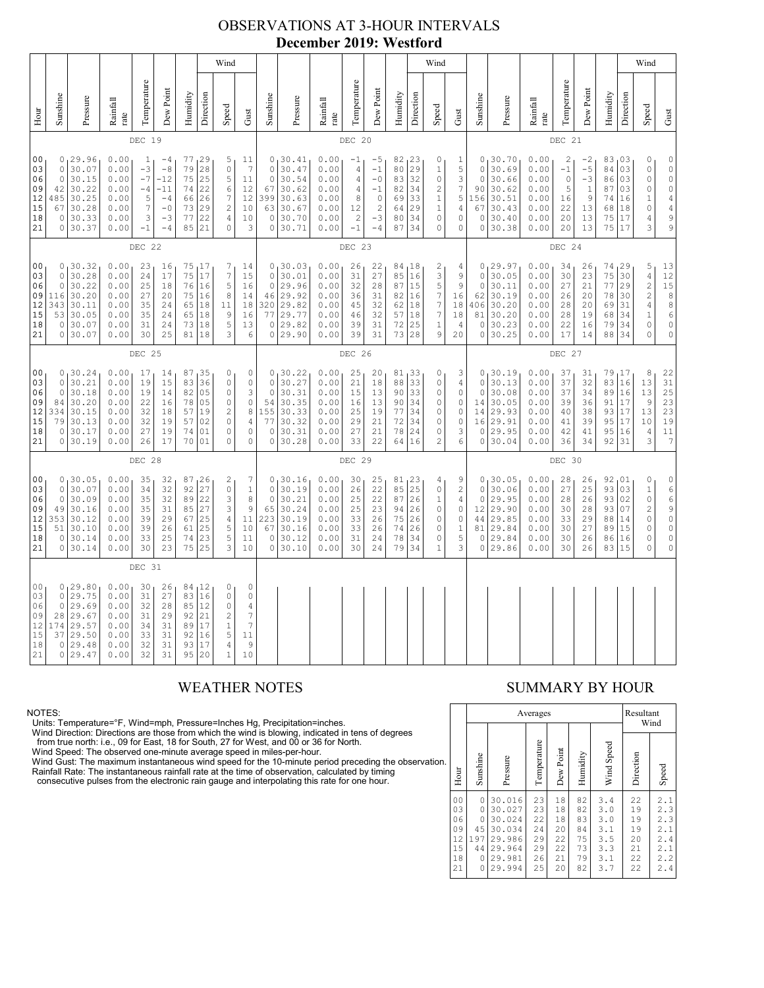## OBSERVATIONS AT 3-HOUR INTERVALS **December 2019: Westford**

|                                                              |                                                                                                                                                                                                                                                                                                                                                                                                                                                                                                                                                      |                                                                         |                                                              |                                              |                                              |                                            |                                                                              | Wind                                                                                |                                                                                                  |                                                                           |                                                                                    |                                                                                         |                                                                                   |                                              |                                                             |                                                                         | Wind                                                                                                            |                                                                                           |                                                                                      |                                                                         |                                                              |                                                                                   |                                                                                                         |                                                 |                                               | Wind                                                                                          |                                                                                                                                                      |
|--------------------------------------------------------------|------------------------------------------------------------------------------------------------------------------------------------------------------------------------------------------------------------------------------------------------------------------------------------------------------------------------------------------------------------------------------------------------------------------------------------------------------------------------------------------------------------------------------------------------------|-------------------------------------------------------------------------|--------------------------------------------------------------|----------------------------------------------|----------------------------------------------|--------------------------------------------|------------------------------------------------------------------------------|-------------------------------------------------------------------------------------|--------------------------------------------------------------------------------------------------|---------------------------------------------------------------------------|------------------------------------------------------------------------------------|-----------------------------------------------------------------------------------------|-----------------------------------------------------------------------------------|----------------------------------------------|-------------------------------------------------------------|-------------------------------------------------------------------------|-----------------------------------------------------------------------------------------------------------------|-------------------------------------------------------------------------------------------|--------------------------------------------------------------------------------------|-------------------------------------------------------------------------|--------------------------------------------------------------|-----------------------------------------------------------------------------------|---------------------------------------------------------------------------------------------------------|-------------------------------------------------|-----------------------------------------------|-----------------------------------------------------------------------------------------------|------------------------------------------------------------------------------------------------------------------------------------------------------|
| Hour                                                         | Sunshine                                                                                                                                                                                                                                                                                                                                                                                                                                                                                                                                             | Pressure                                                                | Rainfall<br>rate                                             | Temperature                                  | Dew Point                                    | Humidity                                   | Direction                                                                    | Speed                                                                               | Gust                                                                                             | Sunshine                                                                  | Pressure                                                                           | Rainfall<br>rate                                                                        | Temperature                                                                       | Dew Point                                    | Humidity                                                    | Direction                                                               | Speed                                                                                                           | Gust                                                                                      | Sunshine                                                                             | Pressure                                                                | Rainfall<br>rate                                             | Temperature                                                                       | Dew Point                                                                                               | Humidity                                        | Direction                                     | Speed                                                                                         | Gust                                                                                                                                                 |
|                                                              |                                                                                                                                                                                                                                                                                                                                                                                                                                                                                                                                                      |                                                                         |                                                              | DEC 19                                       |                                              |                                            |                                                                              |                                                                                     |                                                                                                  |                                                                           |                                                                                    |                                                                                         | DEC 20                                                                            |                                              |                                                             |                                                                         |                                                                                                                 |                                                                                           |                                                                                      |                                                                         |                                                              | DEC 21                                                                            |                                                                                                         |                                                 |                                               |                                                                                               |                                                                                                                                                      |
| 0 <sub>0</sub><br>03<br>06<br>09<br>$12\,$<br>15<br>18<br>21 | 0, 29.96<br>0.00<br>$\frac{77}{79}$ $\Big  \frac{29}{28}$<br>1<br>5<br>11<br>$-4$<br>$-3$<br>$\circ$<br>30.07<br>0.00<br>$-8$<br>$\mathbb O$<br>7<br>$-7$<br>75<br>0.00<br>$-12$<br>25<br>5<br>$\circ$<br>30.15<br>11<br>42<br>30.22<br>0.00<br>74<br>22<br>6<br>12<br>$-11$<br>-4<br>485<br>30.25<br>0.00<br>5<br>26<br>7<br>12<br>$-4$<br>66<br>7<br>29<br>$\sqrt{2}$<br>30.28<br>0.00<br>73<br>10<br>67<br>$-0$<br>30.33<br>3<br>77<br>22<br>$\circ$<br>0.00<br>$-3$<br>10<br>4<br>21<br>$\circ$<br>30.37<br>0.00<br>$-1$<br>$-4$<br>85<br>0<br>3 |                                                                         |                                                              |                                              |                                              | $\circ$<br>$\circ$<br>67<br>399<br>$\circ$ | 0, 30.41<br>30.47<br>30.54<br>30.62<br>30.63<br>63 30.67<br>30.70<br>0 30.71 | 0.00<br>0.00<br>0.00<br>0.00<br>0.00<br>0.00<br>0.00<br>0.00                        | $-1$<br>$\overline{4}$<br>4<br>4<br>8<br>12<br>$\sqrt{2}$<br>$-1$                                | $-5$<br>$-1$<br>$-0$<br>$-1$<br>$\mathbb O$<br>$\sqrt{2}$<br>$-3$<br>$-4$ | 82, 23<br>80<br>83<br>82<br>69<br>64<br>80<br>87                                   | 29<br>32<br>34<br>33<br>29<br>34<br>34                                                  | 0<br>$\,1$<br>$\mathbb O$<br>$\sqrt{2}$<br>$\,1$<br>$\,1\,$<br>$\circ$<br>$\circ$ | 1<br>5<br>3<br>7<br>5<br>4<br>0<br>$\circ$   | $\circ$<br>$\circ$<br>90<br>156<br>67<br>$\circ$<br>$\circ$ | 0, 30.70<br>30.69<br>30.66<br>30.62<br>30.51<br>30.43<br>30.40<br>30.38 | 0.00<br>0.00<br>0.00<br>0.00<br>0.00<br>0.00<br>0.00<br>0.00                                                    | 2<br>$-1$<br>$\circ$<br>5<br>16<br>22<br>20<br>20                                         | $-2$<br>$-5$<br>$-3$<br>1<br>$\overline{9}$<br>13<br>13<br>13                        | 83,03<br>84<br>86<br>87<br>74<br>68<br>75<br>75                         | 03<br>03<br>03<br>16<br>18<br>17<br>17                       | 0<br>$\mathbb O$<br>$\circ$<br>$\circ$<br>$1\,$<br>$\circ$<br>$\overline{4}$<br>3 | $\mathbb O$<br>$\begin{matrix} 0 \\ 0 \end{matrix}$<br>$\mathbb O$<br>$\,4$<br>$\overline{4}$<br>9<br>9 |                                                 |                                               |                                                                                               |                                                                                                                                                      |
|                                                              | DEC 22                                                                                                                                                                                                                                                                                                                                                                                                                                                                                                                                               |                                                                         |                                                              |                                              |                                              |                                            | DEC 23                                                                       |                                                                                     |                                                                                                  |                                                                           |                                                                                    |                                                                                         |                                                                                   | DEC 24                                       |                                                             |                                                                         |                                                                                                                 |                                                                                           |                                                                                      |                                                                         |                                                              |                                                                                   |                                                                                                         |                                                 |                                               |                                                                                               |                                                                                                                                                      |
| 00<br>03<br>06<br>09<br>12<br>15<br>18<br>21                 | $\mathbf 0$<br>$\circ$<br>116<br>343<br>53<br>$\circ$<br>$\circ$                                                                                                                                                                                                                                                                                                                                                                                                                                                                                     | 0, 30.32<br>30.28<br>30.22<br>30.20<br>30.11<br>30.05<br>30.07<br>30.07 | 0.00<br>0.00<br>0.00<br>0.00<br>0.00<br>0.00<br>0.00<br>0.00 | 23<br>24<br>25<br>27<br>35<br>35<br>31<br>30 | 16<br>17<br>18<br>20<br>24<br>24<br>24<br>25 | 75<br>$7\,6$<br>75<br>65<br>65<br>73<br>81 | 75, 17<br>17<br>16<br>16<br>18<br>18<br>18<br>18                             | 7<br>$\overline{7}$<br>5<br>8<br>11<br>9<br>5<br>3                                  | 14<br>15<br>16<br>14<br>18<br>16<br>13<br>6                                                      | $\circ$<br>$\circ$<br>77                                                  | 0, 30.03<br>30.01<br>29.96<br>46 29.92<br>320 29.82<br>29.77<br>0 29.82<br>0 29.90 | ${\bf 0}$ . ${\bf 0}$ ${\bf 0}$<br>0.00<br>0.00<br>0.00<br>0.00<br>0.00<br>0.00<br>0.00 | 26<br>31<br>32<br>36<br>45<br>46<br>39<br>39                                      | 22<br>27<br>28<br>31<br>32<br>32<br>31<br>31 | 85<br>87<br>82<br>62<br>57<br>72<br>73                      | 84,18<br>16<br>15<br>16<br>18<br>18<br>25<br>28                         | 2<br>3<br>$\mathbf 5$<br>$\boldsymbol{7}$<br>$\begin{array}{c} 7 \\ 7 \end{array}$<br>$\,1\,$<br>$\overline{9}$ | 4<br>9<br>9<br>16<br>18<br>18<br>4<br>20                                                  | $\circ$<br>$\circ$<br>62<br>406<br>81<br>$\circ$<br>$\circ$                          | 0, 29.97<br>30.05<br>30.11<br>30.19<br>30.20<br>30.20<br>30.23<br>30.25 | 0.00<br>0.00<br>0.00<br>0.00<br>0.00<br>0.00<br>0.00<br>0.00 | 34<br>30<br>27<br>26<br>28<br>28<br>22<br>17                                      | 26<br>23<br>21<br>20<br>20<br>19<br>16<br>14                                                            | 74<br>75<br>77<br>78<br>69<br>68<br>79<br>88    | 129<br>30<br>29<br>30<br>31<br>34<br>34<br>34 | 5<br>$\overline{4}$<br>$\frac{2}{2}$<br>$\sqrt{4}$<br>$\mathbf 1$<br>$\mathbb O$<br>$\Omega$  | $\begin{array}{c} 1 \, 3 \\ 1 \, 2 \end{array}$<br>$\begin{array}{c}\n15 \\ 8\n\end{array}$<br>8<br>$\epsilon$<br>$\mathsf{O}\xspace$<br>$\mathbb O$ |
|                                                              | DEC 25                                                                                                                                                                                                                                                                                                                                                                                                                                                                                                                                               |                                                                         |                                                              |                                              |                                              |                                            |                                                                              | DEC 26                                                                              |                                                                                                  |                                                                           |                                                                                    |                                                                                         |                                                                                   | DEC 27                                       |                                                             |                                                                         |                                                                                                                 |                                                                                           |                                                                                      |                                                                         |                                                              |                                                                                   |                                                                                                         |                                                 |                                               |                                                                                               |                                                                                                                                                      |
| 00<br>03<br>06<br>09<br>12<br>15<br>18<br>21                 | 0<br>$\circ$<br>84<br>334<br>79<br>$\circ$<br>0                                                                                                                                                                                                                                                                                                                                                                                                                                                                                                      | 0, 30.24<br>30.21<br>30.18<br>30.20<br>30.15<br>30.13<br>30.17<br>30.19 | 0.00<br>0.00<br>0.00<br>0.00<br>0.00<br>0.00<br>0.00<br>0.00 | 17<br>19<br>19<br>22<br>32<br>32<br>27<br>26 | 14<br>15<br>14<br>16<br>18<br>19<br>19<br>17 | 87<br>82<br>78<br>57<br>57<br>74<br>70     | 35<br>83 36<br>05<br>0 <sub>5</sub><br>19<br>02<br>01<br>01                  | 0<br>$\mathbb O$<br>0<br>$\mathbb O$<br>$\mathbf{2}$<br>$\circ$<br>$\mathbb O$<br>0 | 0<br>$\mathbb O$<br>3<br>$\mathbb O$<br>8<br>4<br>$\mathbb O$<br>$\mathbb O$                     | $\mathbb O$<br>$\circ$<br>54<br>77<br>$\circ$                             | 0, 30.22<br>30.27<br>30.31<br>30.35<br>155 30.33<br>30.32<br>30.31<br>0 30.28      | 0.00<br>0.00<br>0.00<br>0.00<br>0.00<br>0.00<br>0.00<br>0.00                            | 25<br>21<br>15<br>16<br>25<br>29<br>27<br>33                                      | 20<br>18<br>13<br>13<br>19<br>21<br>21<br>22 | 81<br>88<br>90<br>90<br>77<br>72<br>78<br>64                | 133<br>33<br>33<br>34<br>34<br>34<br>24<br>16                           | 0<br>$\mathbb O$<br>$\circ$<br>$\mathbb O$<br>$\mathbb O$<br>$\mathbb O$<br>$\mathbb O$<br>$\mathbf{2}$         | 3<br>$\overline{4}$<br>$\mathbb O$<br>$\mathbb O$<br>$\mathbb O$<br>$\mathbb O$<br>3<br>6 | 0 <sub>1</sub><br>$\mathbb O$<br>$\mathbb O$<br>14<br>14<br>16<br>$\circ$<br>$\circ$ | 30.19<br>30.13<br>30.08<br>30.05<br>29.93<br>29.91<br>29.95<br>30.04    | 0.00<br>0.00<br>0.00<br>0.00<br>0.00<br>0.00<br>0.00<br>0.00 | 37<br>37<br>37<br>39<br>40<br>41<br>42<br>36                                      | 31<br>32<br>34<br>36<br>38<br>39<br>41<br>34                                                            | 79<br>83<br>89<br>91<br>93<br>95<br>95<br>92 31 | 17  <br>16<br>16<br>17<br>17<br>17<br>16      | 8<br>13<br>13<br>9<br>13<br>10<br>$\overline{4}$<br>3                                         | 22<br>$\begin{array}{c} 31 \\ 25 \end{array}$<br>23<br>$\begin{array}{c} 23 \\ 19 \end{array}$<br>$\begin{array}{c} 11 \\ 7 \end{array}$             |
|                                                              |                                                                                                                                                                                                                                                                                                                                                                                                                                                                                                                                                      |                                                                         |                                                              | DEC 28                                       |                                              |                                            |                                                                              |                                                                                     |                                                                                                  |                                                                           |                                                                                    |                                                                                         | DEC 29                                                                            |                                              |                                                             |                                                                         |                                                                                                                 |                                                                                           |                                                                                      |                                                                         |                                                              | DEC 30                                                                            |                                                                                                         |                                                 |                                               |                                                                                               |                                                                                                                                                      |
| 0 <sub>0</sub><br>03<br>06<br>09<br>12<br>15<br>18<br>21     | $\mathsf{O}\xspace$<br>0<br>49<br>353<br>51<br>$\circ$<br>0                                                                                                                                                                                                                                                                                                                                                                                                                                                                                          | 0, 30.05<br>30.07<br>30.09<br>30.16<br>30.12<br>30.10<br>30.14<br>30.14 | 0.00<br>0.00<br>0.00<br>0.00<br>0.00<br>0.00<br>0.00<br>0.00 | 35<br>34<br>35<br>35<br>39<br>39<br>33<br>30 | 32<br>32<br>32<br>31<br>29<br>26<br>25<br>23 | 92<br>89<br>85<br>67<br>61<br>74<br>75     | 87, 26<br>27<br>22<br>27<br>25<br>25<br>23<br>25                             | $\overline{\mathbf{c}}$<br>$\mathbb O$<br>3<br>3<br>$\sqrt{4}$<br>5<br>5<br>3       | $\overline{7}$<br>$1\,$<br>$\,8\,$<br>9<br>11<br>10<br>11<br>10                                  | $\circ$<br>$\circ$<br>65                                                  | 0, 30.16<br>30.19<br>30.21<br>30.24<br>223 30.19<br>67 30.16<br>0 30.12<br>0 30.10 | 0.00<br>0.00<br>0.00<br>0.00<br>0.00<br>0.00<br>0.00<br>0.00                            | 30<br>26<br>25<br>25<br>33<br>33<br>31<br>30                                      | 25<br>22<br>22<br>23<br>26<br>26<br>24<br>24 | 85<br>87<br>94<br>75<br>74<br>78<br>79                      | 81, 23<br>25<br>26<br>26<br>26<br>26<br>34<br>34                        | 4<br>$\mathbb O$<br>$\,1\,$<br>$\mathbb O$<br>$\mathbb O$<br>$\mathbb O$<br>$\mathbb O$<br>$\mathbf{1}$         | 9<br>$\sqrt{2}$<br>$\sqrt{4}$<br>$\mathbb O$<br>$\mathbb O$<br>1<br>5<br>3                | 0<br>$\circ$<br>$\mathbb O$<br>12<br>44<br>81<br>$\circ$<br>$\circ$                  | 30.05<br>30.06<br>29.95<br>29.90<br>29.85<br>29.84<br>29.84<br>29.86    | 0.00<br>0.00<br>0.00<br>0.00<br>0.00<br>0.00<br>0.00<br>0.00 | 28<br>27<br>28<br>30<br>33<br>30<br>30<br>30                                      | 26<br>25<br>26<br>28<br>29<br>27<br>26<br>26                                                            | 92<br>93<br>93<br>93<br>88<br>89<br>86<br>83    | 101<br>03<br>02<br>07<br>14<br>15<br>16<br>15 | 0<br>$\,1\,$<br>$\mathbb O$<br>$\overline{c}$<br>$\mathbb O$<br>$\circ$<br>$\circ$<br>$\circ$ | $\begin{array}{c} 0 \\ 6 \end{array}$<br>6<br>9<br>0<br>$\mathbb O$<br>$\mathbb O$<br>$\circ$                                                        |
|                                                              |                                                                                                                                                                                                                                                                                                                                                                                                                                                                                                                                                      |                                                                         |                                                              | DEC 31                                       |                                              |                                            |                                                                              |                                                                                     |                                                                                                  |                                                                           |                                                                                    |                                                                                         |                                                                                   |                                              |                                                             |                                                                         |                                                                                                                 |                                                                                           |                                                                                      |                                                                         |                                                              |                                                                                   |                                                                                                         |                                                 |                                               |                                                                                               |                                                                                                                                                      |
| 0 <sub>0</sub><br>03<br>06<br>09<br>12<br>15<br>18<br>21     | $\circ$<br>0<br>28<br>174<br>37<br>$\circ$<br>$\Omega$                                                                                                                                                                                                                                                                                                                                                                                                                                                                                               | 0, 29.80<br>29.75<br>29.69<br>29.67<br>29.57<br>29.50<br>29.48<br>29.47 | 0.00<br>0.00<br>0.00<br>0.00<br>0.00<br>0.00<br>0.00<br>0.00 | 30<br>31<br>32<br>31<br>34<br>33<br>32<br>32 | 26<br>27<br>28<br>29<br>31<br>31<br>31<br>31 | 83<br>85<br>92<br>89<br>92<br>93<br>95     | 84 12<br>16<br>12<br>21<br>17<br>16<br>17<br>20                              | $\mathbb O$<br>$\mathbb O$<br>0<br>2<br>$\mathbf{1}$<br>5<br>4<br>$\mathbf{1}$      | $\mathbb O$<br>$\mathbb O$<br>4<br>$\overline{7}$<br>$\overline{7}$<br>11<br>$\mathcal{G}$<br>10 |                                                                           |                                                                                    |                                                                                         |                                                                                   |                                              |                                                             |                                                                         |                                                                                                                 |                                                                                           |                                                                                      |                                                                         |                                                              |                                                                                   |                                                                                                         |                                                 |                                               |                                                                                               |                                                                                                                                                      |

NOTES:<br>Units: Temperature=°F, Wind=mph, Pressure=Inches Hg, Precipitation=inches.<br>Units: Temperature=°F, Wind=mph, Pressure=Inches Hg, Precipitation=inches.<br>
Yind Direction: Directions are those from which the wind is blow

## WEATHER NOTES SUMMARY BY HOUR

|    |                                                          |                                          | Resultant<br>Wind                                                            |                                                                             |                                              |                                              |                                                      |                                              |                                                      |
|----|----------------------------------------------------------|------------------------------------------|------------------------------------------------------------------------------|-----------------------------------------------------------------------------|----------------------------------------------|----------------------------------------------|------------------------------------------------------|----------------------------------------------|------------------------------------------------------|
| ì. | Hour                                                     | Sunshine                                 | Pressure                                                                     | Temperature                                                                 | Dew Point                                    | Humidity                                     | Wind Speed                                           | Direction                                    | Speed                                                |
|    | 0 <sub>0</sub><br>03<br>06<br>09<br>12<br>15<br>18<br>21 | 0<br>0<br>0<br>45<br>197<br>44<br>0<br>0 | 30.016<br>30.027<br>30.024<br>30.034<br>29.986<br>29.964<br>29.981<br>29.994 | 23<br>23<br>22<br>$\begin{array}{c} 24 \\ 29 \end{array}$<br>29<br>26<br>25 | 18<br>18<br>18<br>20<br>22<br>22<br>21<br>20 | 82<br>82<br>83<br>84<br>75<br>73<br>79<br>82 | 3.4<br>3.0<br>3.0<br>3.1<br>3.5<br>3.3<br>3.1<br>3.7 | 22<br>19<br>19<br>19<br>20<br>21<br>22<br>22 | 2.1<br>2.3<br>2.3<br>2.1<br>2.4<br>2.1<br>2.2<br>2.4 |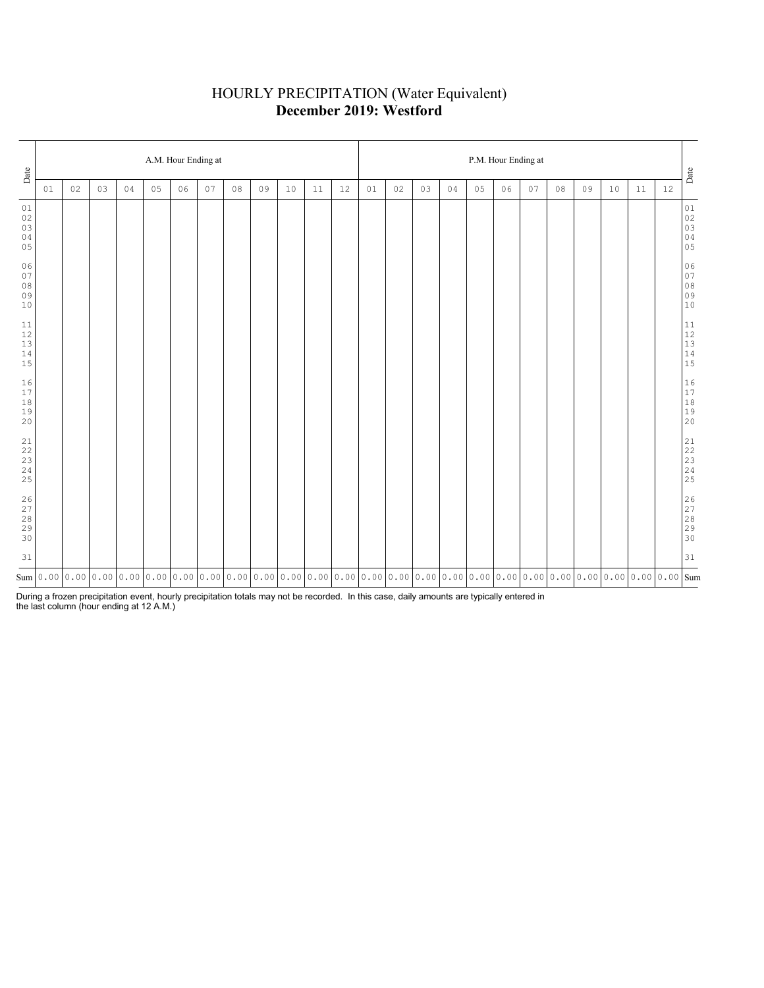## HOURLY PRECIPITATION (Water Equivalent) **December 2019: Westford**

| Date                                    |                                                                                                                                                                                                                                     | A.M. Hour Ending at |    |    |    |    |    |    |    |    |    |    |    |    | P.M. Hour Ending at |    |    |    |    |    |    |    |    |        |                                                           |  |  |
|-----------------------------------------|-------------------------------------------------------------------------------------------------------------------------------------------------------------------------------------------------------------------------------------|---------------------|----|----|----|----|----|----|----|----|----|----|----|----|---------------------|----|----|----|----|----|----|----|----|--------|-----------------------------------------------------------|--|--|
|                                         | 01                                                                                                                                                                                                                                  | 02                  | 03 | 04 | 05 | 06 | 07 | 08 | 09 | 10 | 11 | 12 | 01 | 02 | 03                  | 04 | 05 | 06 | 07 | 08 | 09 | 10 | 11 | $12\,$ | $_{\rm {Date}}$                                           |  |  |
| 01<br>$0\,2$<br>03<br>04<br>05          |                                                                                                                                                                                                                                     |                     |    |    |    |    |    |    |    |    |    |    |    |    |                     |    |    |    |    |    |    |    |    |        | $0\,1$<br>$02$<br>$03$<br>$04$<br>$05$                    |  |  |
| 06<br>07<br>$0\,8$<br>09<br>$10$        |                                                                                                                                                                                                                                     |                     |    |    |    |    |    |    |    |    |    |    |    |    |                     |    |    |    |    |    |    |    |    |        | 06<br>07<br>08<br>09<br>09<br>10                          |  |  |
| 11<br>$12$<br>$13$<br>$14$<br>15        |                                                                                                                                                                                                                                     |                     |    |    |    |    |    |    |    |    |    |    |    |    |                     |    |    |    |    |    |    |    |    |        | $\begin{array}{c} 11 \\ 12 \\ 13 \\ 14 \\ 15 \end{array}$ |  |  |
| 16<br>17<br>$1\,8$<br>19<br>20          |                                                                                                                                                                                                                                     |                     |    |    |    |    |    |    |    |    |    |    |    |    |                     |    |    |    |    |    |    |    |    |        | $\begin{array}{c} 16 \\ 17 \\ 18 \\ 19 \\ 20 \end{array}$ |  |  |
| 21<br>22<br>$\frac{23}{24}$<br>25       |                                                                                                                                                                                                                                     |                     |    |    |    |    |    |    |    |    |    |    |    |    |                     |    |    |    |    |    |    |    |    |        |                                                           |  |  |
| $\frac{26}{27}$<br>$2\,8$<br>29<br>$30$ |                                                                                                                                                                                                                                     |                     |    |    |    |    |    |    |    |    |    |    |    |    |                     |    |    |    |    |    |    |    |    |        | 26<br>27<br>28<br>29<br>29<br>30                          |  |  |
| 31                                      |                                                                                                                                                                                                                                     |                     |    |    |    |    |    |    |    |    |    |    |    |    |                     |    |    |    |    |    |    |    |    |        | 31                                                        |  |  |
|                                         | $_{\rm sum}$   0 . 00   0 . 00   0 . 00   0 . 00   0 . 00   0 . 00   0 . 00   0 . 00   0 . 00   0 . 00   0 . 00   0 . 00   0 . 00   0 . 00   0 . 00   0 . 00   0 . 00   0 . 00   0 . 00   0 . 00   0 . 00   0 . 00   0 . 00   0 . 0 |                     |    |    |    |    |    |    |    |    |    |    |    |    |                     |    |    |    |    |    |    |    |    |        |                                                           |  |  |

During a frozen precipitation event, hourly precipitation totals may not be recorded. In this case, daily amounts are typically entered in the last column (hour ending at 12 A.M.)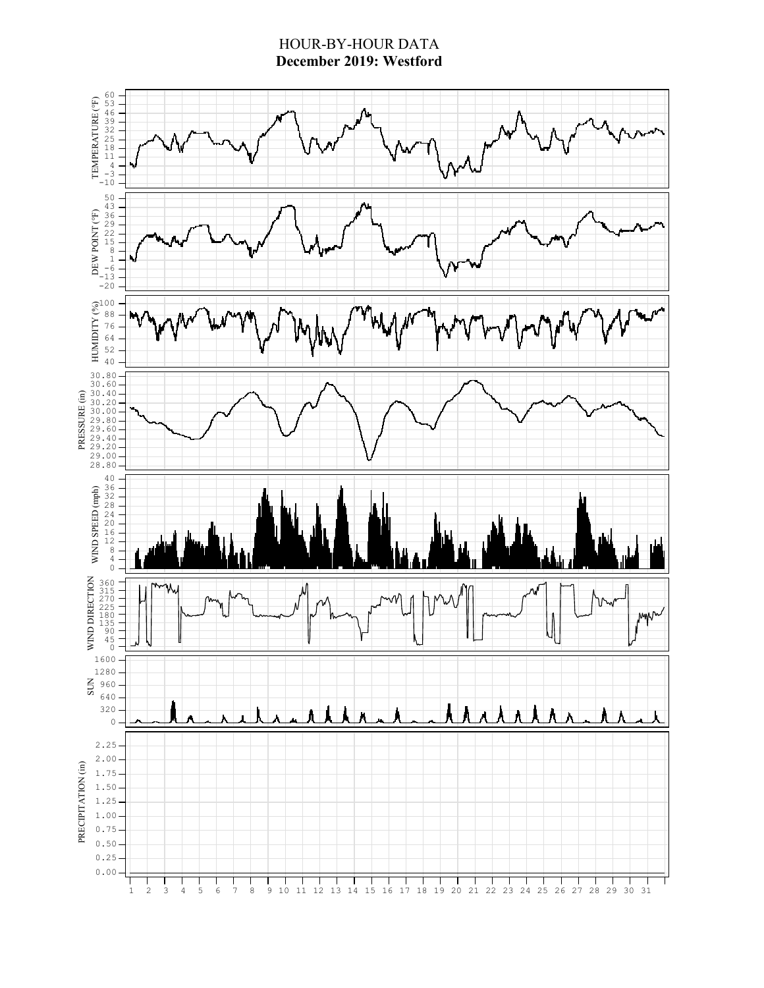## HOUR-BY-HOUR DATA **December 2019: Westford**